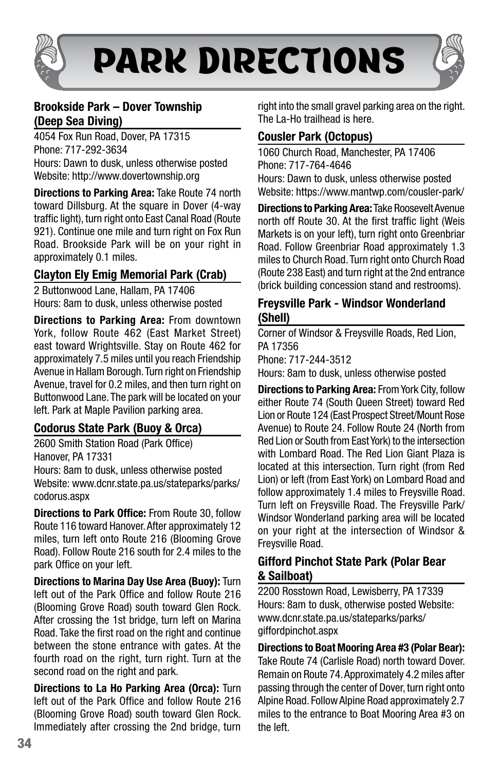

# PARK DIRECTIONS



## Brookside Park – Dover Township (Deep Sea Diving)

4054 Fox Run Road, Dover, PA 17315 Phone: 717-292-3634 Hours: Dawn to dusk, unless otherwise posted Website: http://www.dovertownship.org

Directions to Parking Area: Take Route 74 north toward Dillsburg. At the square in Dover (4-way traffic light), turn right onto East Canal Road (Route 921). Continue one mile and turn right on Fox Run Road. Brookside Park will be on your right in approximately 0.1 miles.

# Clayton Ely Emig Memorial Park (Crab)

2 Buttonwood Lane, Hallam, PA 17406 Hours: 8am to dusk, unless otherwise posted

Directions to Parking Area: From downtown York, follow Route 462 (East Market Street) east toward Wrightsville. Stay on Route 462 for approximately 7.5 miles until you reach Friendship Avenue in Hallam Borough. Turn right on Friendship Avenue, travel for 0.2 miles, and then turn right on Buttonwood Lane. The park will be located on your left. Park at Maple Pavilion parking area.

## Codorus State Park (Buoy & Orca)

2600 Smith Station Road (Park Office) Hanover, PA 17331 Hours: 8am to dusk, unless otherwise posted Website: www.dcnr.state.pa.us/stateparks/parks/

codorus.aspx Directions to Park Office: From Route 30, follow

Route 116 toward Hanover. After approximately 12 miles, turn left onto Route 216 (Blooming Grove Road). Follow Route 216 south for 2.4 miles to the park Office on your left.

Directions to Marina Day Use Area (Buoy): Turn left out of the Park Office and follow Route 216 (Blooming Grove Road) south toward Glen Rock. After crossing the 1st bridge, turn left on Marina Road. Take the first road on the right and continue between the stone entrance with gates. At the fourth road on the right, turn right. Turn at the second road on the right and park.

Directions to La Ho Parking Area (Orca): Turn left out of the Park Office and follow Route 216 (Blooming Grove Road) south toward Glen Rock. Immediately after crossing the 2nd bridge, turn right into the small gravel parking area on the right. The La-Ho trailhead is here.

## Cousler Park (Octopus)

1060 Church Road, Manchester, PA 17406 Phone: 717-764-4646

Hours: Dawn to dusk, unless otherwise posted Website: https://www.mantwp.com/cousler-park/

Directions to Parking Area: Take Roosevelt Avenue north off Route 30. At the first traffic light (Weis Markets is on your left), turn right onto Greenbriar Road. Follow Greenbriar Road approximately 1.3 miles to Church Road. Turn right onto Church Road (Route 238 East) and turn right at the 2nd entrance (brick building concession stand and restrooms).

### Freysville Park - Windsor Wonderland (Shell)

Corner of Windsor & Freysville Roads, Red Lion, PA 17356 Phone: 717-244-3512 Hours: 8am to dusk, unless otherwise posted

Directions to Parking Area: From York City, follow either Route 74 (South Queen Street) toward Red Lion or Route 124 (East Prospect Street/Mount Rose Avenue) to Route 24. Follow Route 24 (North from Red Lion or South from East York) to the intersection with Lombard Road. The Red Lion Giant Plaza is located at this intersection. Turn right (from Red Lion) or left (from East York) on Lombard Road and follow approximately 1.4 miles to Freysville Road. Turn left on Freysville Road. The Freysville Park/ Windsor Wonderland parking area will be located on your right at the intersection of Windsor & Freysville Road.

#### Gifford Pinchot State Park (Polar Bear & Sailboat)

2200 Rosstown Road, Lewisberry, PA 17339 Hours: 8am to dusk, otherwise posted Website: www.dcnr.state.pa.us/stateparks/parks/ giffordpinchot.aspx

Directions to Boat Mooring Area #3 (Polar Bear): Take Route 74 (Carlisle Road) north toward Dover. Remain on Route 74. Approximately 4.2 miles after passing through the center of Dover, turn right onto Alpine Road. Follow Alpine Road approximately 2.7 miles to the entrance to Boat Mooring Area #3 on the left.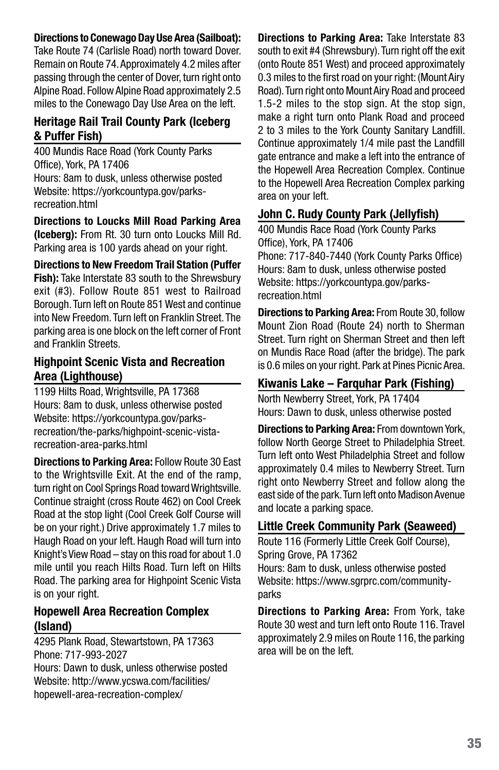#### Directions to Conewago Day Use Area (Sailboat):

Take Route 74 (Carlisle Road) north toward Dover. Remain on Route 74. Approximately 4.2 miles after passing through the center of Dover, turn right onto Alpine Road. Follow Alpine Road approximately 2.5 miles to the Conewago Day Use Area on the left.

#### Heritage Rail Trail County Park (Iceberg & Puffer Fish)

400 Mundis Race Road (York County Parks Office), York, PA 17406 Hours: 8am to dusk, unless otherwise posted Website: https://yorkcountypa.gov/parksrecreation.html

Directions to Loucks Mill Road Parking Area (Iceberg): From Rt. 30 turn onto Loucks Mill Rd. Parking area is 100 yards ahead on your right.

Directions to New Freedom Trail Station (Puffer **Fish):** Take Interstate 83 south to the Shrewsbury exit (#3). Follow Route 851 west to Railroad Borough. Turn left on Route 851 West and continue into New Freedom. Turn left on Franklin Street. The parking area is one block on the left corner of Front and Franklin Streets.

## Highpoint Scenic Vista and Recreation Area (Lighthouse)

1199 Hilts Road, Wrightsville, PA 17368 Hours: 8am to dusk, unless otherwise posted Website: https://yorkcountypa.gov/parksrecreation/the-parks/highpoint-scenic-vistarecreation-area-parks.html

Directions to Parking Area: Follow Route 30 East to the Wrightsville Exit. At the end of the ramp, turn right on Cool Springs Road toward Wrightsville. Continue straight (cross Route 462) on Cool Creek Road at the stop light (Cool Creek Golf Course will be on your right.) Drive approximately 1.7 miles to Haugh Road on your left. Haugh Road will turn into Knight's View Road – stay on this road for about 1.0 mile until you reach Hilts Road. Turn left on Hilts Road. The parking area for Highpoint Scenic Vista is on your right.

#### Hopewell Area Recreation Complex (Island)

4295 Plank Road, Stewartstown, PA 17363 Phone: 717-993-2027 Hours: Dawn to dusk, unless otherwise posted Website: http://www.ycswa.com/facilities/ hopewell-area-recreation-complex/

Directions to Parking Area: Take Interstate 83 south to exit #4 (Shrewsbury). Turn right off the exit (onto Route 851 West) and proceed approximately 0.3 miles to the first road on your right: (Mount Airy Road). Turn right onto Mount Airy Road and proceed 1.5-2 miles to the stop sign. At the stop sign, make a right turn onto Plank Road and proceed 2 to 3 miles to the York County Sanitary Landfill. Continue approximately 1/4 mile past the Landfill gate entrance and make a left into the entrance of the Hopewell Area Recreation Complex. Continue to the Hopewell Area Recreation Complex parking area on your left.

#### John C. Rudy County Park (Jellyfish)

400 Mundis Race Road (York County Parks Office), York, PA 17406 Phone: 717-840-7440 (York County Parks Office) Hours: 8am to dusk, unless otherwise posted Website: https://yorkcountypa.gov/parksrecreation.html

Directions to Parking Area: From Route 30, follow Mount Zion Road (Route 24) north to Sherman Street. Turn right on Sherman Street and then left on Mundis Race Road (after the bridge). The park is 0.6 miles on your right. Park at Pines Picnic Area.

## Kiwanis Lake – Farquhar Park (Fishing)

North Newberry Street, York, PA 17404 Hours: Dawn to dusk, unless otherwise posted

Directions to Parking Area: From downtown York, follow North George Street to Philadelphia Street. Turn left onto West Philadelphia Street and follow approximately 0.4 miles to Newberry Street. Turn right onto Newberry Street and follow along the east side of the park. Turn left onto Madison Avenue and locate a parking space.

#### Little Creek Community Park (Seaweed)

Route 116 (Formerly Little Creek Golf Course), Spring Grove, PA 17362 Hours: 8am to dusk, unless otherwise posted Website: https://www.sgrprc.com/communityparks

Directions to Parking Area: From York, take Route 30 west and turn left onto Route 116. Travel approximately 2.9 miles on Route 116, the parking area will be on the left.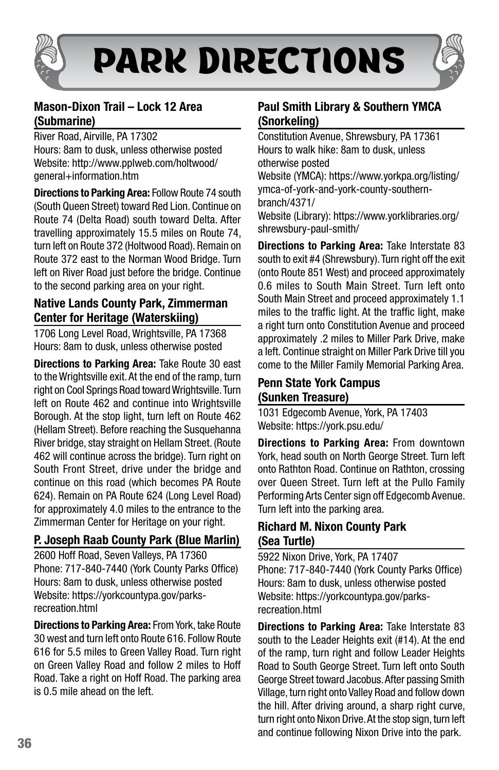

# PARK DIRECTIONS



## Mason-Dixon Trail – Lock 12 Area (Submarine)

River Road, Airville, PA 17302 Hours: 8am to dusk, unless otherwise posted Website: http://www.pplweb.com/holtwood/ general+information.htm

Directions to Parking Area: Follow Route 74 south (South Queen Street) toward Red Lion. Continue on Route 74 (Delta Road) south toward Delta. After travelling approximately 15.5 miles on Route 74, turn left on Route 372 (Holtwood Road). Remain on Route 372 east to the Norman Wood Bridge. Turn left on River Road just before the bridge. Continue to the second parking area on your right.

## Native Lands County Park, Zimmerman Center for Heritage (Waterskiing)

1706 Long Level Road, Wrightsville, PA 17368 Hours: 8am to dusk, unless otherwise posted

Directions to Parking Area: Take Route 30 east to the Wrightsville exit. At the end of the ramp, turn right on Cool Springs Road toward Wrightsville. Turn left on Route 462 and continue into Wrightsville Borough. At the stop light, turn left on Route 462 (Hellam Street). Before reaching the Susquehanna River bridge, stay straight on Hellam Street. (Route 462 will continue across the bridge). Turn right on South Front Street, drive under the bridge and continue on this road (which becomes PA Route 624). Remain on PA Route 624 (Long Level Road) for approximately 4.0 miles to the entrance to the Zimmerman Center for Heritage on your right.

# P. Joseph Raab County Park (Blue Marlin)

2600 Hoff Road, Seven Valleys, PA 17360 Phone: 717-840-7440 (York County Parks Office) Hours: 8am to dusk, unless otherwise posted Website: https://yorkcountypa.gov/parksrecreation.html

Directions to Parking Area: From York, take Route 30 west and turn left onto Route 616. Follow Route 616 for 5.5 miles to Green Valley Road. Turn right on Green Valley Road and follow 2 miles to Hoff Road. Take a right on Hoff Road. The parking area is 0.5 mile ahead on the left.

## Paul Smith Library & Southern YMCA (Snorkeling)

Constitution Avenue, Shrewsbury, PA 17361 Hours to walk hike: 8am to dusk, unless otherwise posted

Website (YMCA): https://www.yorkpa.org/listing/ ymca-of-york-and-york-county-southernbranch/4371/

Website (Library): https://www.yorklibraries.org/ shrewsbury-paul-smith/

Directions to Parking Area: Take Interstate 83 south to exit #4 (Shrewsbury). Turn right off the exit (onto Route 851 West) and proceed approximately 0.6 miles to South Main Street. Turn left onto South Main Street and proceed approximately 1.1 miles to the traffic light. At the traffic light, make a right turn onto Constitution Avenue and proceed approximately .2 miles to Miller Park Drive, make a left. Continue straight on Miller Park Drive till you come to the Miller Family Memorial Parking Area.

## Penn State York Campus (Sunken Treasure)

1031 Edgecomb Avenue, York, PA 17403 Website: https://york.psu.edu/

Directions to Parking Area: From downtown York, head south on North George Street. Turn left onto Rathton Road. Continue on Rathton, crossing over Queen Street. Turn left at the Pullo Family Performing Arts Center sign off Edgecomb Avenue. Turn left into the parking area.

## Richard M. Nixon County Park (Sea Turtle)

5922 Nixon Drive, York, PA 17407 Phone: 717-840-7440 (York County Parks Office) Hours: 8am to dusk, unless otherwise posted Website: https://yorkcountypa.gov/parksrecreation.html

Directions to Parking Area: Take Interstate 83 south to the Leader Heights exit (#14). At the end of the ramp, turn right and follow Leader Heights Road to South George Street. Turn left onto South George Street toward Jacobus. After passing Smith Village, turn right onto Valley Road and follow down the hill. After driving around, a sharp right curve, turn right onto Nixon Drive. At the stop sign, turn left and continue following Nixon Drive into the park.